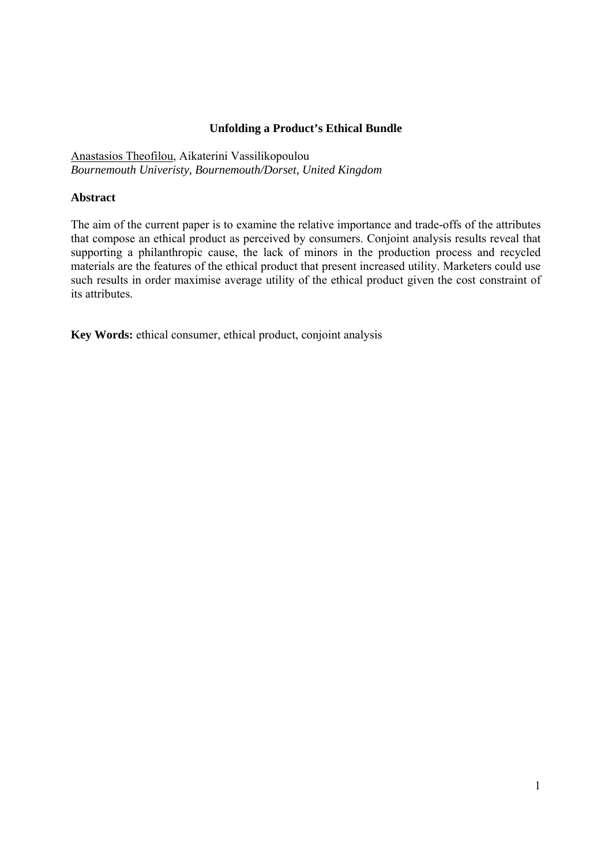#### **Unfolding a Product's Ethical Bundle**

Anastasios Theofilou, Aikaterini Vassilikopoulou *Bournemouth Univeristy, Bournemouth/Dorset, United Kingdom* 

#### **Abstract**

The aim of the current paper is to examine the relative importance and trade-offs of the attributes that compose an ethical product as perceived by consumers. Conjoint analysis results reveal that supporting a philanthropic cause, the lack of minors in the production process and recycled materials are the features of the ethical product that present increased utility. Marketers could use such results in order maximise average utility of the ethical product given the cost constraint of its attributes.

**Key Words:** ethical consumer, ethical product, conjoint analysis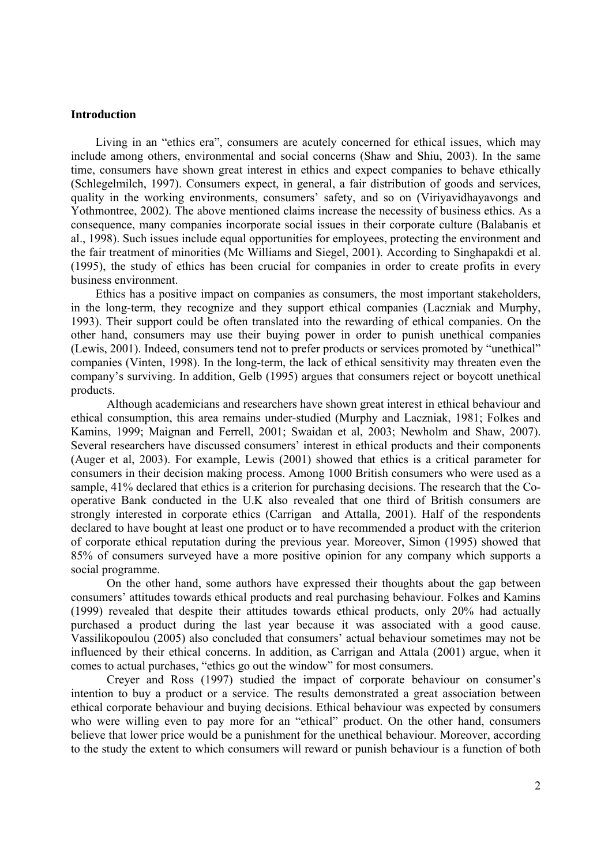#### **Introduction**

Living in an "ethics era", consumers are acutely concerned for ethical issues, which may include among others, environmental and social concerns (Shaw and Shiu, 2003). In the same time, consumers have shown great interest in ethics and expect companies to behave ethically (Schlegelmilch, 1997). Consumers expect, in general, a fair distribution of goods and services, quality in the working environments, consumers' safety, and so on (Viriyavidhayavongs and Yothmontree, 2002). The above mentioned claims increase the necessity of business ethics. As a consequence, many companies incorporate social issues in their corporate culture (Balabanis et al., 1998). Such issues include equal opportunities for employees, protecting the environment and the fair treatment of minorities (Mc Williams and Siegel, 2001). According to Singhapakdi et al. (1995), the study of ethics has been crucial for companies in order to create profits in every business environment.

Ethics has a positive impact on companies as consumers, the most important stakeholders, in the long-term, they recognize and they support ethical companies (Laczniak and Murphy, 1993). Their support could be often translated into the rewarding of ethical companies. On the other hand, consumers may use their buying power in order to punish unethical companies (Lewis, 2001). Indeed, consumers tend not to prefer products or services promoted by "unethical" companies (Vinten, 1998). In the long-term, the lack of ethical sensitivity may threaten even the company's surviving. In addition, Gelb (1995) argues that consumers reject or boycott unethical products.

Although academicians and researchers have shown great interest in ethical behaviour and ethical consumption, this area remains under-studied (Murphy and Laczniak, 1981; Folkes and Kamins, 1999; Maignan and Ferrell, 2001; Swaidan et al, 2003; Newholm and Shaw, 2007). Several researchers have discussed consumers' interest in ethical products and their components (Auger et al, 2003). For example, Lewis (2001) showed that ethics is a critical parameter for consumers in their decision making process. Among 1000 British consumers who were used as a sample, 41% declared that ethics is a criterion for purchasing decisions. The research that the Cooperative Bank conducted in the U.K also revealed that one third of British consumers are strongly interested in corporate ethics (Carrigan and Attalla*,* 2001). Half of the respondents declared to have bought at least one product or to have recommended a product with the criterion of corporate ethical reputation during the previous year. Moreover, Simon (1995) showed that 85% of consumers surveyed have a more positive opinion for any company which supports a social programme.

On the other hand, some authors have expressed their thoughts about the gap between consumers' attitudes towards ethical products and real purchasing behaviour. Folkes and Kamins (1999) revealed that despite their attitudes towards ethical products, only 20% had actually purchased a product during the last year because it was associated with a good cause. Vassilikopoulou (2005) also concluded that consumers' actual behaviour sometimes may not be influenced by their ethical concerns. In addition, as Carrigan and Attala (2001) argue, when it comes to actual purchases, "ethics go out the window" for most consumers.

Creyer and Ross (1997) studied the impact of corporate behaviour on consumer's intention to buy a product or a service. The results demonstrated a great association between ethical corporate behaviour and buying decisions. Ethical behaviour was expected by consumers who were willing even to pay more for an "ethical" product. On the other hand, consumers believe that lower price would be a punishment for the unethical behaviour. Moreover, according to the study the extent to which consumers will reward or punish behaviour is a function of both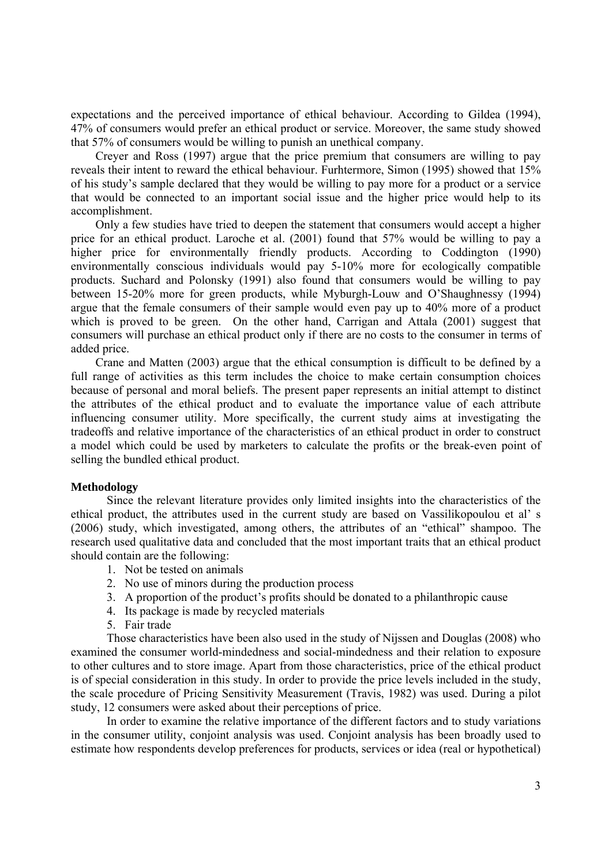expectations and the perceived importance of ethical behaviour. According to Gildea (1994), 47% of consumers would prefer an ethical product or service. Moreover, the same study showed that 57% of consumers would be willing to punish an unethical company.

Creyer and Ross (1997) argue that the price premium that consumers are willing to pay reveals their intent to reward the ethical behaviour. Furhtermore, Simon (1995) showed that 15% of his study's sample declared that they would be willing to pay more for a product or a service that would be connected to an important social issue and the higher price would help to its accomplishment.

Only a few studies have tried to deepen the statement that consumers would accept a higher price for an ethical product. Laroche et al. (2001) found that 57% would be willing to pay a higher price for environmentally friendly products. According to Coddington (1990) environmentally conscious individuals would pay 5-10% more for ecologically compatible products. Suchard and Polonsky (1991) also found that consumers would be willing to pay between 15-20% more for green products, while Myburgh-Louw and O'Shaughnessy (1994) argue that the female consumers of their sample would even pay up to 40% more of a product which is proved to be green. On the other hand, Carrigan and Attala (2001) suggest that consumers will purchase an ethical product only if there are no costs to the consumer in terms of added price.

Crane and Matten (2003) argue that the ethical consumption is difficult to be defined by a full range of activities as this term includes the choice to make certain consumption choices because of personal and moral beliefs. The present paper represents an initial attempt to distinct the attributes of the ethical product and to evaluate the importance value of each attribute influencing consumer utility. More specifically, the current study aims at investigating the tradeoffs and relative importance of the characteristics of an ethical product in order to construct a model which could be used by marketers to calculate the profits or the break-even point of selling the bundled ethical product.

#### **Methodology**

Since the relevant literature provides only limited insights into the characteristics of the ethical product, the attributes used in the current study are based on Vassilikopoulou et al' s (2006) study, which investigated, among others, the attributes of an "ethical" shampoo. The research used qualitative data and concluded that the most important traits that an ethical product should contain are the following:

- 1. Not be tested on animals
- 2. No use of minors during the production process
- 3. A proportion of the product's profits should be donated to a philanthropic cause
- 4. Its package is made by recycled materials
- 5. Fair trade

Those characteristics have been also used in the study of Nijssen and Douglas (2008) who examined the consumer world-mindedness and social-mindedness and their relation to exposure to other cultures and to store image. Apart from those characteristics, price of the ethical product is of special consideration in this study. In order to provide the price levels included in the study, the scale procedure of Pricing Sensitivity Measurement (Travis, 1982) was used. During a pilot study, 12 consumers were asked about their perceptions of price.

In order to examine the relative importance of the different factors and to study variations in the consumer utility, conjoint analysis was used. Conjoint analysis has been broadly used to estimate how respondents develop preferences for products, services or idea (real or hypothetical)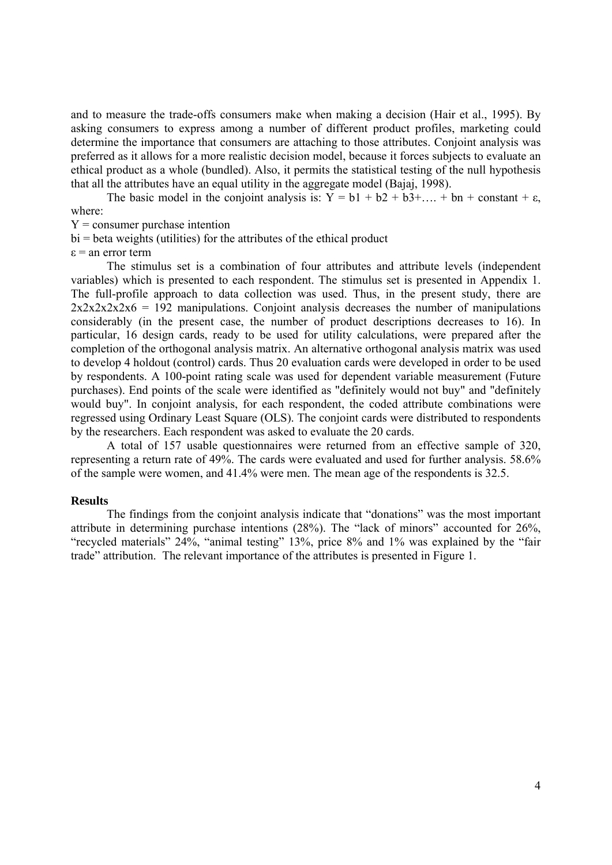and to measure the trade-offs consumers make when making a decision (Hair et al., 1995). By asking consumers to express among a number of different product profiles, marketing could determine the importance that consumers are attaching to those attributes. Conjoint analysis was preferred as it allows for a more realistic decision model, because it forces subjects to evaluate an ethical product as a whole (bundled). Also, it permits the statistical testing of the null hypothesis that all the attributes have an equal utility in the aggregate model (Bajaj, 1998).

The basic model in the conjoint analysis is:  $\overline{Y} = b1 + b2 + b3 + ... + bn + constant + \varepsilon$ , where:

 $Y =$  consumer purchase intention

bi = beta weights (utilities) for the attributes of the ethical product

 $\varepsilon$  = an error term

The stimulus set is a combination of four attributes and attribute levels (independent variables) which is presented to each respondent. The stimulus set is presented in Appendix 1. The full-profile approach to data collection was used. Thus, in the present study, there are  $2x2x2x2x6 = 192$  manipulations. Conjoint analysis decreases the number of manipulations considerably (in the present case, the number of product descriptions decreases to 16). In particular, 16 design cards, ready to be used for utility calculations, were prepared after the completion of the orthogonal analysis matrix. An alternative orthogonal analysis matrix was used to develop 4 holdout (control) cards. Thus 20 evaluation cards were developed in order to be used by respondents. A 100-point rating scale was used for dependent variable measurement (Future purchases). End points of the scale were identified as "definitely would not buy" and "definitely would buy". In conjoint analysis, for each respondent, the coded attribute combinations were regressed using Ordinary Least Square (OLS). The conjoint cards were distributed to respondents by the researchers. Each respondent was asked to evaluate the 20 cards.

A total of 157 usable questionnaires were returned from an effective sample of 320, representing a return rate of 49%. The cards were evaluated and used for further analysis. 58.6% of the sample were women, and 41.4% were men. The mean age of the respondents is 32.5.

#### **Results**

The findings from the conjoint analysis indicate that "donations" was the most important attribute in determining purchase intentions (28%). The "lack of minors" accounted for 26%, "recycled materials" 24%, "animal testing" 13%, price 8% and 1% was explained by the "fair trade" attribution. The relevant importance of the attributes is presented in Figure 1.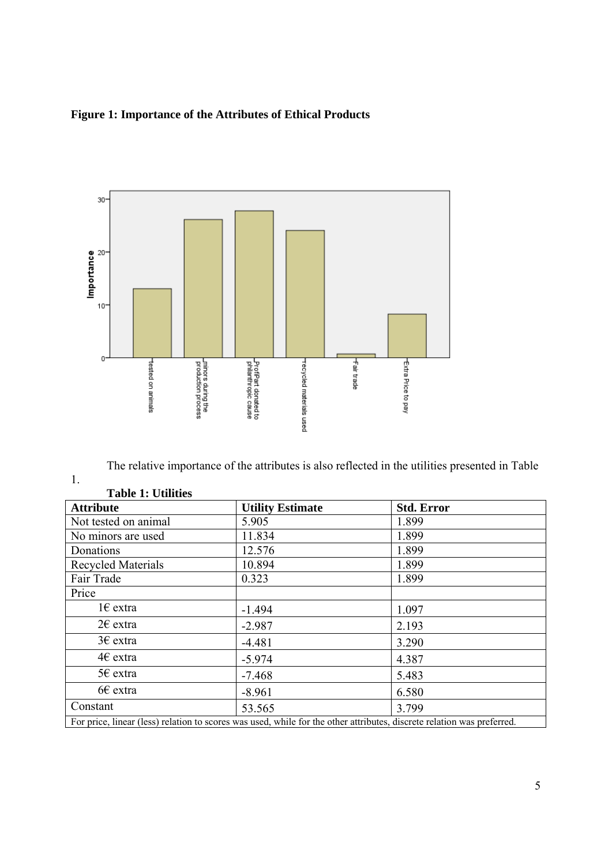### **Figure 1: Importance of the Attributes of Ethical Products**



The relative importance of the attributes is also reflected in the utilities presented in Table

| radie re Cumus            |                         |                                                                                                                        |  |
|---------------------------|-------------------------|------------------------------------------------------------------------------------------------------------------------|--|
| <b>Attribute</b>          | <b>Utility Estimate</b> | <b>Std. Error</b>                                                                                                      |  |
| Not tested on animal      | 5.905                   | 1.899                                                                                                                  |  |
| No minors are used        | 11.834                  | 1.899                                                                                                                  |  |
| Donations                 | 12.576                  | 1.899                                                                                                                  |  |
| <b>Recycled Materials</b> | 10.894                  | 1.899                                                                                                                  |  |
| Fair Trade                | 0.323                   | 1.899                                                                                                                  |  |
| Price                     |                         |                                                                                                                        |  |
| $1 \in$ extra             | $-1.494$                | 1.097                                                                                                                  |  |
| $2\varepsilon$ extra      | $-2.987$                | 2.193                                                                                                                  |  |
| $3\epsilon$ extra         | $-4.481$                | 3.290                                                                                                                  |  |
| $4\epsilon$ extra         | $-5.974$                | 4.387                                                                                                                  |  |
| 5€ extra                  | $-7.468$                | 5.483                                                                                                                  |  |
| $66$ extra                | $-8.961$                | 6.580                                                                                                                  |  |
| Constant                  | 53.565                  | 3.799                                                                                                                  |  |
|                           |                         | For price, linear (less) relation to scores was used, while for the other attributes, discrete relation was preferred. |  |

#### **Table 1: Utilities**

1.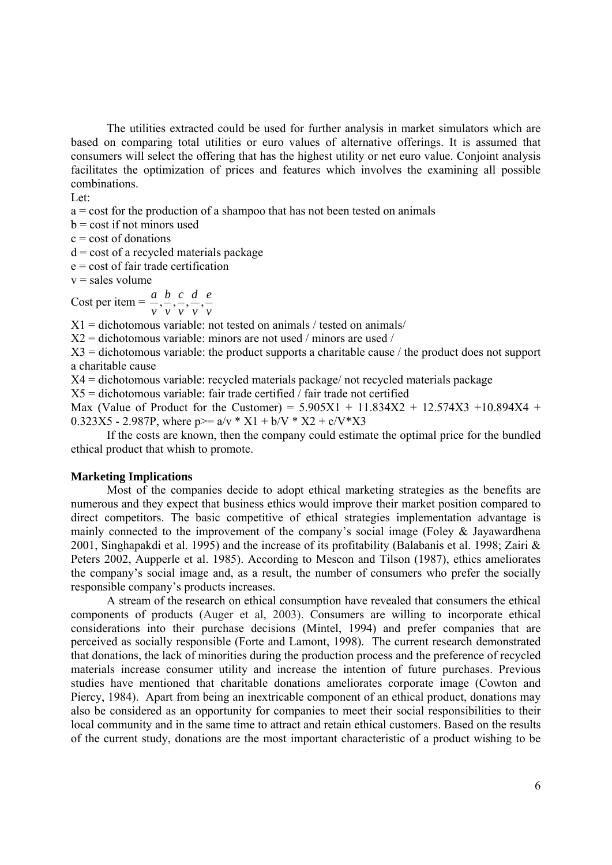The utilities extracted could be used for further analysis in market simulators which are based on comparing total utilities or euro values of alternative offerings. It is assumed that consumers will select the offering that has the highest utility or net euro value. Conjoint analysis facilitates the optimization of prices and features which involves the examining all possible combinations.

Let:

a = cost for the production of a shampoo that has not been tested on animals

 $b = \text{cost}$  if not minors used

 $c = \text{cost of}$  donations

 $d = \text{cost of a received materials package}$ 

e = cost of fair trade certification

 $v =$ sales volume

Cost per item  $=$ *v e v d v c v b v*  $\frac{a}{a}, \frac{b}{a}, \frac{c}{a}, \frac{d}{b}, \frac{c}{b}$ 

 $X1 =$  dichotomous variable: not tested on animals / tested on animals /

 $X2$  = dichotomous variable: minors are not used / minors are used /

 $X3$  = dichotomous variable: the product supports a charitable cause / the product does not support a charitable cause

X4 = dichotomous variable: recycled materials package/ not recycled materials package

 $X5$  = dichotomous variable: fair trade certified / fair trade not certified

Max (Value of Product for the Customer) =  $5.905X1 + 11.834X2 + 12.574X3 + 10.894X4 +$ 0.323X5 - 2.987P, where  $p>= a/v * X1 + b/V * X2 + c/V * X3$ 

If the costs are known, then the company could estimate the optimal price for the bundled ethical product that whish to promote.

#### **Marketing Implications**

Most of the companies decide to adopt ethical marketing strategies as the benefits are numerous and they expect that business ethics would improve their market position compared to direct competitors. The basic competitive of ethical strategies implementation advantage is mainly connected to the improvement of the company's social image (Foley & Jayawardhena 2001, Singhapakdi et al. 1995) and the increase of its profitability (Balabanis et al. 1998; Zairi & Peters 2002, Aupperle et al. 1985). According to Mescon and Tilson (1987), ethics ameliorates the company's social image and, as a result, the number of consumers who prefer the socially responsible company's products increases.

A stream of the research on ethical consumption have revealed that consumers the ethical components of products (Auger et al, 2003). Consumers are willing to incorporate ethical considerations into their purchase decisions (Mintel, 1994) and prefer companies that are perceived as socially responsible (Forte and Lamont, 1998). The current research demonstrated that donations, the lack of minorities during the production process and the preference of recycled materials increase consumer utility and increase the intention of future purchases. Previous studies have mentioned that charitable donations ameliorates corporate image (Cowton and Piercy, 1984). Apart from being an inextricable component of an ethical product, donations may also be considered as an opportunity for companies to meet their social responsibilities to their local community and in the same time to attract and retain ethical customers. Based on the results of the current study, donations are the most important characteristic of a product wishing to be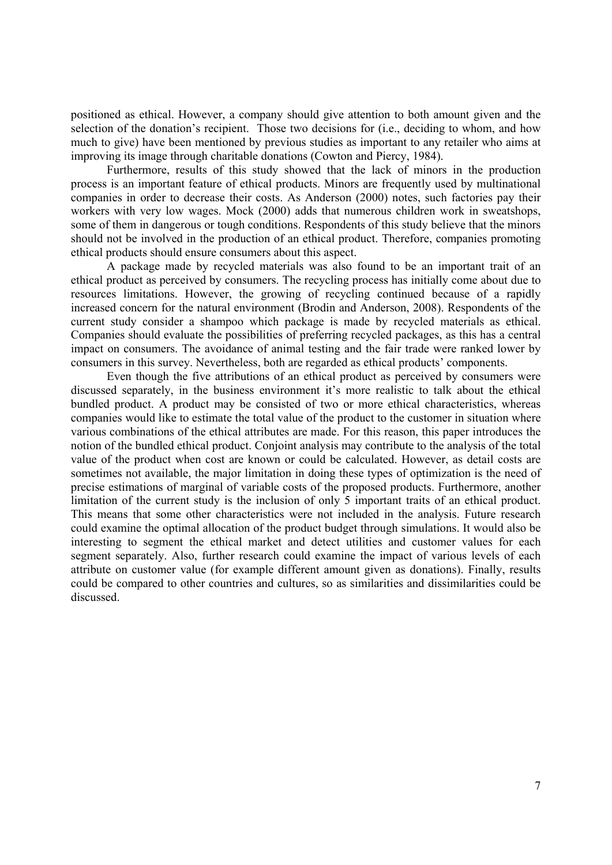positioned as ethical. However, a company should give attention to both amount given and the selection of the donation's recipient. Those two decisions for (i.e., deciding to whom, and how much to give) have been mentioned by previous studies as important to any retailer who aims at improving its image through charitable donations (Cowton and Piercy, 1984).

Furthermore, results of this study showed that the lack of minors in the production process is an important feature of ethical products. Minors are frequently used by multinational companies in order to decrease their costs. As Anderson (2000) notes, such factories pay their workers with very low wages. Mock (2000) adds that numerous children work in sweatshops, some of them in dangerous or tough conditions. Respondents of this study believe that the minors should not be involved in the production of an ethical product. Therefore, companies promoting ethical products should ensure consumers about this aspect.

A package made by recycled materials was also found to be an important trait of an ethical product as perceived by consumers. The recycling process has initially come about due to resources limitations. However, the growing of recycling continued because of a rapidly increased concern for the natural environment (Brodin and Anderson, 2008). Respondents of the current study consider a shampoo which package is made by recycled materials as ethical. Companies should evaluate the possibilities of preferring recycled packages, as this has a central impact on consumers. The avoidance of animal testing and the fair trade were ranked lower by consumers in this survey. Nevertheless, both are regarded as ethical products' components.

Even though the five attributions of an ethical product as perceived by consumers were discussed separately, in the business environment it's more realistic to talk about the ethical bundled product. A product may be consisted of two or more ethical characteristics, whereas companies would like to estimate the total value of the product to the customer in situation where various combinations of the ethical attributes are made. For this reason, this paper introduces the notion of the bundled ethical product. Conjoint analysis may contribute to the analysis of the total value of the product when cost are known or could be calculated. However, as detail costs are sometimes not available, the major limitation in doing these types of optimization is the need of precise estimations of marginal of variable costs of the proposed products. Furthermore, another limitation of the current study is the inclusion of only 5 important traits of an ethical product. This means that some other characteristics were not included in the analysis. Future research could examine the optimal allocation of the product budget through simulations. It would also be interesting to segment the ethical market and detect utilities and customer values for each segment separately. Also, further research could examine the impact of various levels of each attribute on customer value (for example different amount given as donations). Finally, results could be compared to other countries and cultures, so as similarities and dissimilarities could be discussed.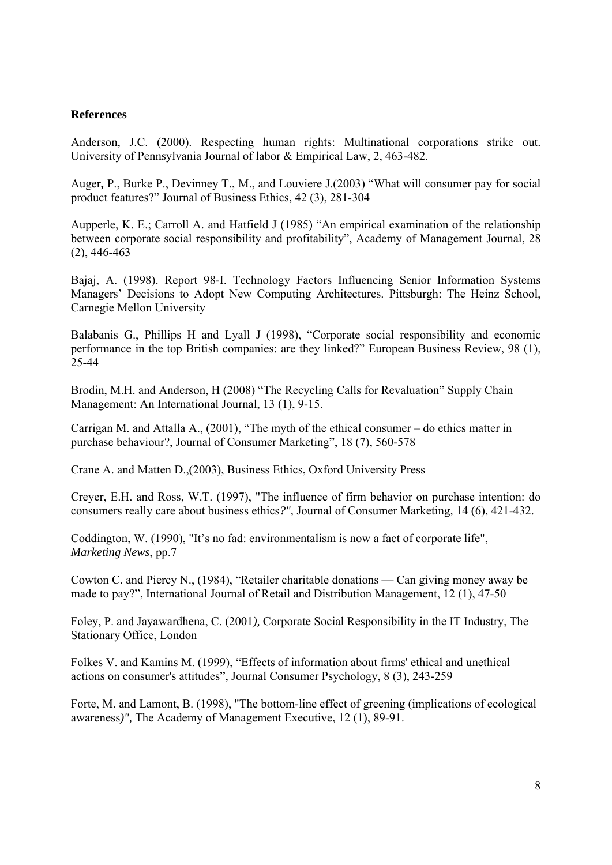#### **References**

Anderson, J.C. (2000). Respecting human rights: Multinational corporations strike out. University of Pennsylvania Journal of labor & Empirical Law, 2, 463-482.

Auger**,** P., Burke P., Devinney T., M., and Louviere J.(2003) "What will consumer pay for social product features?" Journal of Business Ethics, 42 (3), 281-304

Aupperle, K. E.; Carroll A. and Hatfield J (1985) "An empirical examination of the relationship between corporate social responsibility and profitability", Academy of Management Journal, 28 (2), 446-463

Bajaj, A. (1998). Report 98-I. Technology Factors Influencing Senior Information Systems Managers' Decisions to Adopt New Computing Architectures. Pittsburgh: The Heinz School, Carnegie Mellon University

Balabanis G., Phillips H and Lyall J (1998), "Corporate social responsibility and economic performance in the top British companies: are they linked?" European Business Review, 98 (1), 25-44

Brodin, M.H. and Anderson, H (2008) "The Recycling Calls for Revaluation" Supply Chain Management: An International Journal, 13 (1), 9-15.

Carrigan M. and Attalla A., (2001), "The myth of the ethical consumer – do ethics matter in purchase behaviour?, Journal of Consumer Marketing", 18 (7), 560-578

Crane A. and Matten D.,(2003), Business Ethics, Oxford University Press

Creyer, E.H. and Ross, W.T. (1997), "The influence of firm behavior on purchase intention: do consumers really care about business ethics*?",* Journal of Consumer Marketing*,* 14 (6), 421-432.

Coddington, W. (1990), "It's no fad: environmentalism is now a fact of corporate life", *Marketing News*, pp.7

Cowton C. and Piercy N., (1984), "Retailer charitable donations — Can giving money away be made to pay?", International Journal of Retail and Distribution Management, 12 (1), 47-50

Foley, P. and Jayawardhena, C. (2001*),* Corporate Social Responsibility in the IT Industry, The Stationary Office, London

Folkes V. and Kamins M. (1999), "Effects of information about firms' ethical and unethical actions on consumer's attitudes", Journal Consumer Psychology, 8 (3), 243-259

Forte, M. and Lamont, B. (1998), "The bottom-line effect of greening (implications of ecological awareness*)",* The Academy of Management Executive, 12 (1), 89-91.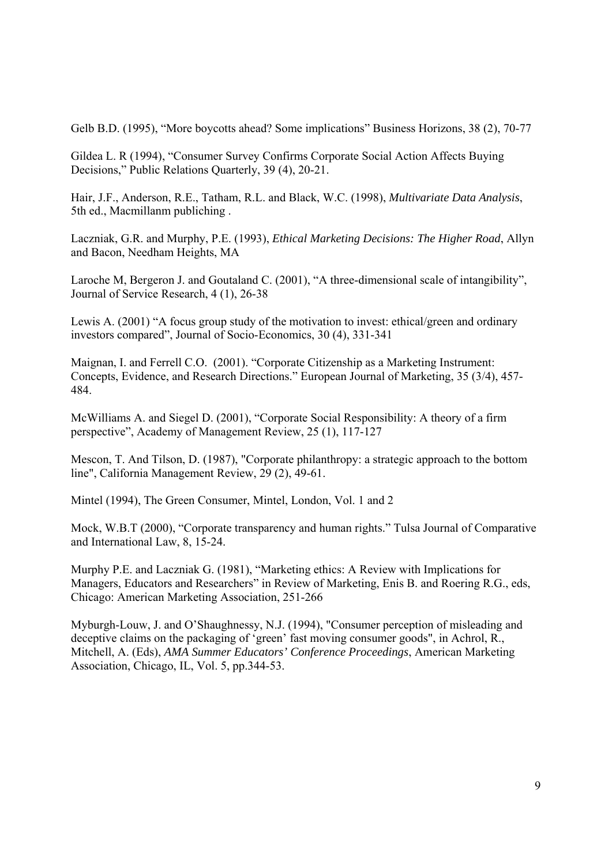Gelb B.D. (1995), "More boycotts ahead? Some implications" Business Horizons, 38 (2), 70-77

Gildea L. R (1994), "Consumer Survey Confirms Corporate Social Action Affects Buying Decisions," Public Relations Quarterly, 39 (4), 20-21.

Hair, J.F., Anderson, R.E., Tatham, R.L. and Black, W.C. (1998), *Multivariate Data Analysis*, 5th ed., Macmillanm publiching .

Laczniak, G.R. and Murphy, P.E. (1993), *Ethical Marketing Decisions: The Higher Road*, Allyn and Bacon, Needham Heights, MA

Laroche M, Bergeron J. and Goutaland C. (2001), "A three-dimensional scale of intangibility", Journal of Service Research, 4 (1), 26-38

Lewis A. (2001) "A focus group study of the motivation to invest: ethical/green and ordinary investors compared", Journal of Socio-Economics, 30 (4), 331-341

Maignan, I. and Ferrell C.O. (2001). "Corporate Citizenship as a Marketing Instrument: Concepts, Evidence, and Research Directions." European Journal of Marketing, 35 (3/4), 457- 484.

McWilliams A. and Siegel D. (2001), "Corporate Social Responsibility: A theory of a firm perspective", Academy of Management Review, 25 (1), 117-127

Mescon, T. And Tilson, D. (1987), "Corporate philanthropy: a strategic approach to the bottom line", California Management Review, 29 (2), 49-61.

Mintel (1994), The Green Consumer, Mintel, London, Vol. 1 and 2

Mock, W.B.T (2000), "Corporate transparency and human rights." Tulsa Journal of Comparative and International Law, 8, 15-24.

Murphy P.E. and Laczniak G. (1981), "Marketing ethics: A Review with Implications for Managers, Educators and Researchers" in Review of Marketing, Enis B. and Roering R.G., eds, Chicago: American Marketing Association, 251-266

Myburgh-Louw, J. and O'Shaughnessy, N.J. (1994), "Consumer perception of misleading and deceptive claims on the packaging of 'green' fast moving consumer goods", in Achrol, R., Mitchell, A. (Eds), *AMA Summer Educators' Conference Proceedings*, American Marketing Association, Chicago, IL, Vol. 5, pp.344-53.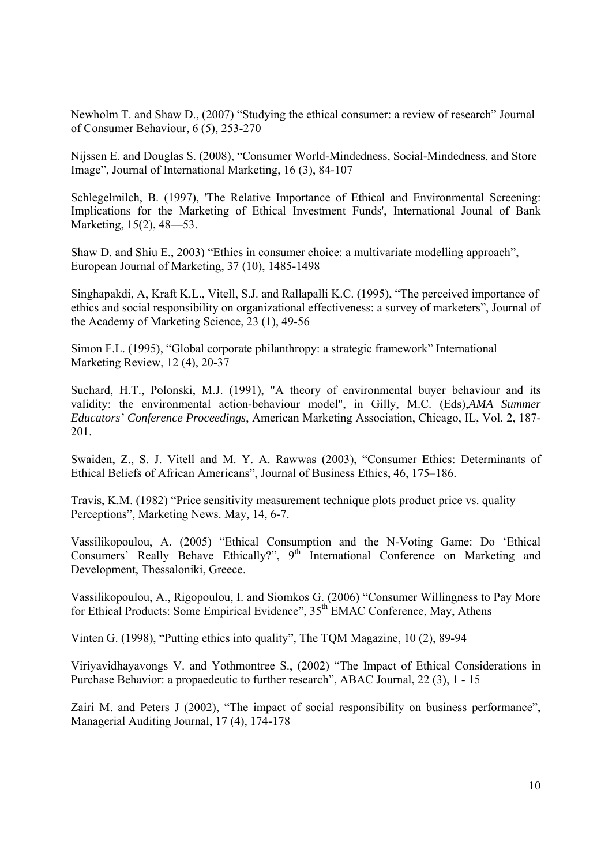Newholm T. and Shaw D., (2007) "Studying the ethical consumer: a review of research" Journal of Consumer Behaviour, 6 (5), 253-270

Nijssen E. and Douglas S. (2008), "Consumer World-Mindedness, Social-Mindedness, and Store Image", Journal of International Marketing, 16 (3), 84-107

Schlegelmilch, B. (1997), 'The Relative Importance of Ethical and Environmental Screening: Implications for the Marketing of Ethical Investment Funds', International Jounal of Bank Marketing, 15(2), 48—53.

Shaw D. and Shiu E., 2003) "Ethics in consumer choice: a multivariate modelling approach", European Journal of Marketing, 37 (10), 1485-1498

Singhapakdi, A, Kraft K.L., Vitell, S.J. and Rallapalli K.C. (1995), "The perceived importance of ethics and social responsibility on organizational effectiveness: a survey of marketers", Journal of the Academy of Marketing Science, 23 (1), 49-56

Simon F.L. (1995), "Global corporate philanthropy: a strategic framework" International Marketing Review, 12 (4), 20-37

Suchard, H.T., Polonski, M.J. (1991), "A theory of environmental buyer behaviour and its validity: the environmental action-behaviour model", in Gilly, M.C. (Eds),*AMA Summer Educators' Conference Proceedings*, American Marketing Association, Chicago, IL, Vol. 2, 187- 201.

Swaiden, Z., S. J. Vitell and M. Y. A. Rawwas (2003), "Consumer Ethics: Determinants of Ethical Beliefs of African Americans", Journal of Business Ethics, 46, 175–186.

Travis, K.M. (1982) "Price sensitivity measurement technique plots product price vs. quality Perceptions", Marketing News. May, 14, 6-7.

Vassilikopoulou, A. (2005) "Ethical Consumption and the N-Voting Game: Do 'Ethical Consumers' Really Behave Ethically?", 9<sup>th</sup> International Conference on Marketing and Development, Thessaloniki, Greece.

Vassilikopoulou, A., Rigopoulou, I. and Siomkos G. (2006) "Consumer Willingness to Pay More for Ethical Products: Some Empirical Evidence",  $35<sup>th</sup> EMAC$  Conference, May, Athens

Vinten G. (1998), "Putting ethics into quality", The TQM Magazine, 10 (2), 89-94

Viriyavidhayavongs V. and Yothmontree S., (2002) "The Impact of Ethical Considerations in Purchase Behavior: a propaedeutic to further research", ABAC Journal, 22 (3), 1 - 15

Zairi M. and Peters J (2002), "The impact of social responsibility on business performance", Managerial Auditing Journal, 17 (4), 174-178